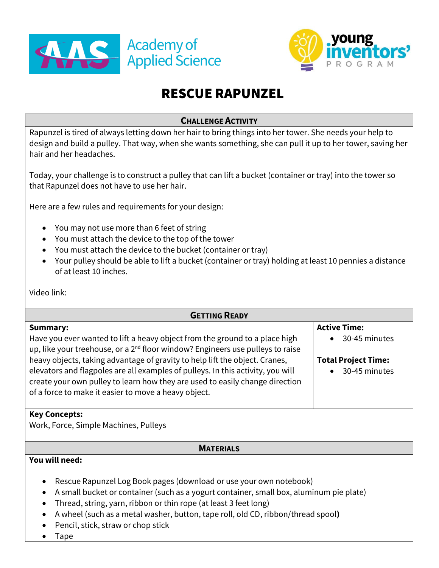



# RESCUE RAPUNZEL

## **CHALLENGE ACTIVITY**

Rapunzel is tired of always letting down her hair to bring things into her tower. She needs your help to design and build a pulley. That way, when she wants something, she can pull it up to her tower, saving her hair and her headaches.

Today, your challenge is to construct a pulley that can lift a bucket (container or tray) into the tower so that Rapunzel does not have to use her hair.

Here are a few rules and requirements for your design:

- You may not use more than 6 feet of string
- You must attach the device to the top of the tower
- You must attach the device to the bucket (container or tray)
- Your pulley should be able to lift a bucket (container or tray) holding at least 10 pennies a distance of at least 10 inches.

Video link:

| <b>GETTING READY</b>                                                                                                                                                                                                    |                            |
|-------------------------------------------------------------------------------------------------------------------------------------------------------------------------------------------------------------------------|----------------------------|
| <b>Summary:</b>                                                                                                                                                                                                         | <b>Active Time:</b>        |
| Have you ever wanted to lift a heavy object from the ground to a place high<br>up, like your treehouse, or a 2 <sup>nd</sup> floor window? Engineers use pulleys to raise                                               | 30-45 minutes              |
| heavy objects, taking advantage of gravity to help lift the object. Cranes,                                                                                                                                             | <b>Total Project Time:</b> |
| elevators and flagpoles are all examples of pulleys. In this activity, you will<br>create your own pulley to learn how they are used to easily change direction<br>of a force to make it easier to move a heavy object. | 30-45 minutes              |
| <b>Key Concepts:</b>                                                                                                                                                                                                    |                            |
| Work, Force, Simple Machines, Pulleys                                                                                                                                                                                   |                            |

#### **MATERIALS**

#### **You will need:**

- Rescue Rapunzel Log Book pages (download or use your own notebook)
- A small bucket or container (such as a yogurt container, small box, aluminum pie plate)
- Thread, string, yarn, ribbon or thin rope (at least 3 feet long)
- A wheel (such as a metal washer, button, tape roll, old CD, ribbon/thread spool**)**
- Pencil, stick, straw or chop stick
- Tape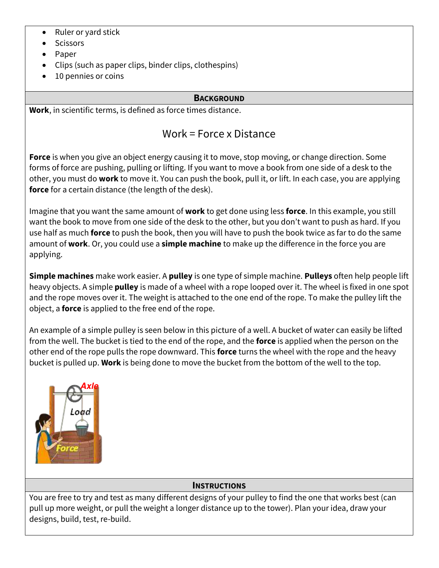- Ruler or yard stick
- Scissors
- Paper
- Clips (such as paper clips, binder clips, clothespins)
- 10 pennies or coins

# **BACKGROUND**

**Work**, in scientific terms, is defined as force times distance.

# Work = Force x Distance

**Force** is when you give an object energy causing it to move, stop moving, or change direction. Some forms of force are pushing, pulling or lifting. If you want to move a book from one side of a desk to the other, you must do **work** to move it. You can push the book, pull it, or lift. In each case, you are applying **force** for a certain distance (the length of the desk).

Imagine that you want the same amount of **work** to get done using less **force**. In this example, you still want the book to move from one side of the desk to the other, but you don't want to push as hard. If you use half as much **force** to push the book, then you will have to push the book twice as far to do the same amount of **work**. Or, you could use a **simple machine** to make up the difference in the force you are applying.

**Simple machines** make work easier. A **pulley** is one type of simple machine. **Pulleys** often help people lift heavy objects. A simple **pulley** is made of a wheel with a rope looped over it. The wheel is fixed in one spot and the rope moves over it. The weight is attached to the one end of the rope. To make the pulley lift the object, a **force** is applied to the free end of the rope.

An example of a simple pulley is seen below in this picture of a well. A bucket of water can easily be lifted from the well. The bucket is tied to the end of the rope, and the **force** is applied when the person on the other end of the rope pulls the rope downward. This **force** turns the wheel with the rope and the heavy bucket is pulled up. **Work** is being done to move the bucket from the bottom of the well to the top.



# **INSTRUCTIONS**

You are free to try and test as many different designs of your pulley to find the one that works best (can pull up more weight, or pull the weight a longer distance up to the tower). Plan your idea, draw your designs, build, test, re-build.